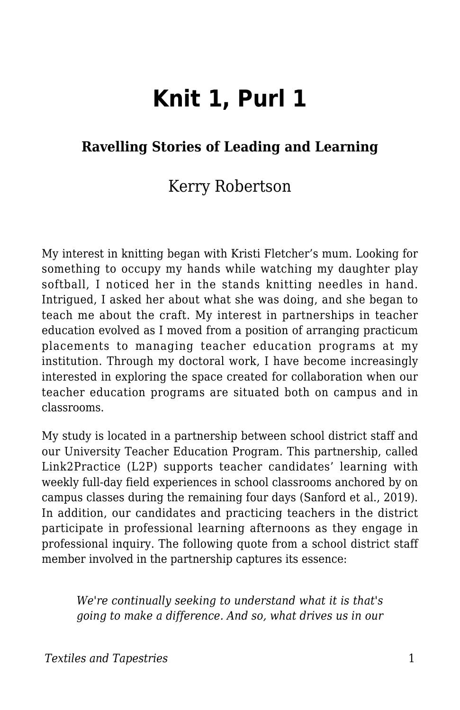# **Knit 1, Purl 1**

#### **Ravelling Stories of Leading and Learning**

#### Kerry Robertson

My interest in knitting began with Kristi Fletcher's mum. Looking for something to occupy my hands while watching my daughter play softball, I noticed her in the stands knitting needles in hand. Intrigued, I asked her about what she was doing, and she began to teach me about the craft. My interest in partnerships in teacher education evolved as I moved from a position of arranging practicum placements to managing teacher education programs at my institution. Through my doctoral work, I have become increasingly interested in exploring the space created for collaboration when our teacher education programs are situated both on campus and in classrooms.

My study is located in a partnership between school district staff and our University Teacher Education Program. This partnership, called Link2Practice (L2P) supports teacher candidates' learning with weekly full-day field experiences in school classrooms anchored by on campus classes during the remaining four days (Sanford et al., 2019). In addition, our candidates and practicing teachers in the district participate in professional learning afternoons as they engage in professional inquiry. The following quote from a school district staff member involved in the partnership captures its essence:

*We're continually seeking to understand what it is that's going to make a difference. And so, what drives us in our*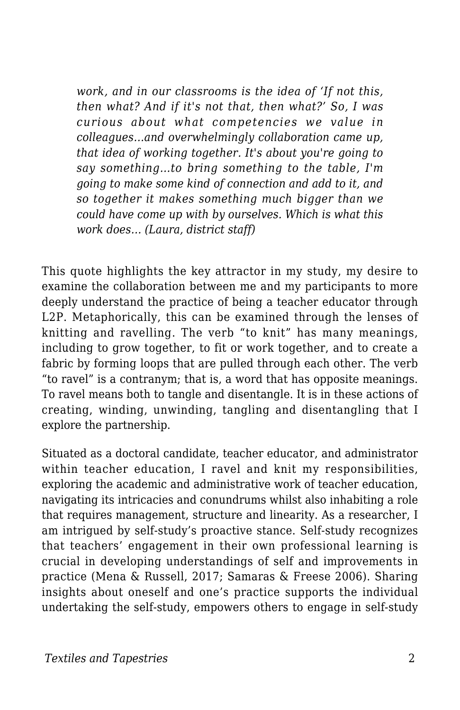*work, and in our classrooms is the idea of 'If not this, then what? And if it's not that, then what?' So, I was curious about what competencies we value in colleagues…and overwhelmingly collaboration came up, that idea of working together. It's about you're going to say something…to bring something to the table, I'm going to make some kind of connection and add to it, and so together it makes something much bigger than we could have come up with by ourselves. Which is what this work does… (Laura, district staff)*

This quote highlights the key attractor in my study, my desire to examine the collaboration between me and my participants to more deeply understand the practice of being a teacher educator through L2P. Metaphorically, this can be examined through the lenses of knitting and ravelling. The verb "to knit" has many meanings, including to grow together, to fit or work together, and to create a fabric by forming loops that are pulled through each other. The verb "to ravel" is a contranym; that is, a word that has opposite meanings. To ravel means both to tangle and disentangle. It is in these actions of creating, winding, unwinding, tangling and disentangling that I explore the partnership.

Situated as a doctoral candidate, teacher educator, and administrator within teacher education, I ravel and knit my responsibilities, exploring the academic and administrative work of teacher education, navigating its intricacies and conundrums whilst also inhabiting a role that requires management, structure and linearity. As a researcher, I am intrigued by self-study's proactive stance. Self-study recognizes that teachers' engagement in their own professional learning is crucial in developing understandings of self and improvements in practice (Mena & Russell, 2017; Samaras & Freese 2006). Sharing insights about oneself and one's practice supports the individual undertaking the self-study, empowers others to engage in self-study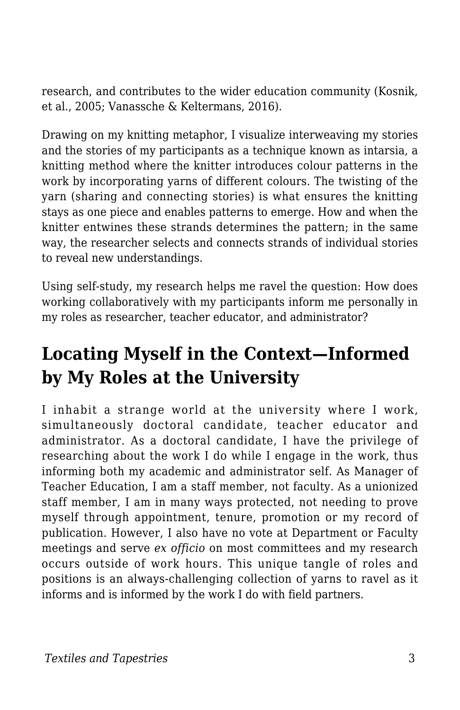research, and contributes to the wider education community (Kosnik, et al., 2005; Vanassche & Keltermans, 2016).

Drawing on my knitting metaphor, I visualize interweaving my stories and the stories of my participants as a technique known as intarsia, a knitting method where the knitter introduces colour patterns in the work by incorporating yarns of different colours. The twisting of the yarn (sharing and connecting stories) is what ensures the knitting stays as one piece and enables patterns to emerge. How and when the knitter entwines these strands determines the pattern; in the same way, the researcher selects and connects strands of individual stories to reveal new understandings.

Using self-study, my research helps me ravel the question: How does working collaboratively with my participants inform me personally in my roles as researcher, teacher educator, and administrator?

# **Locating Myself in the Context—Informed by My Roles at the University**

I inhabit a strange world at the university where I work, simultaneously doctoral candidate, teacher educator and administrator. As a doctoral candidate, I have the privilege of researching about the work I do while I engage in the work, thus informing both my academic and administrator self. As Manager of Teacher Education, I am a staff member, not faculty. As a unionized staff member, I am in many ways protected, not needing to prove myself through appointment, tenure, promotion or my record of publication. However, I also have no vote at Department or Faculty meetings and serve *ex officio* on most committees and my research occurs outside of work hours. This unique tangle of roles and positions is an always-challenging collection of yarns to ravel as it informs and is informed by the work I do with field partners.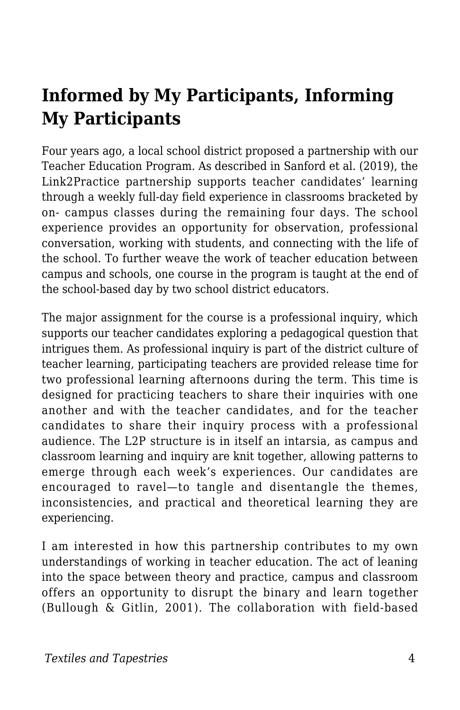# **Informed by My Participants, Informing My Participants**

Four years ago, a local school district proposed a partnership with our Teacher Education Program. As described in Sanford et al. (2019), the Link2Practice partnership supports teacher candidates' learning through a weekly full-day field experience in classrooms bracketed by on- campus classes during the remaining four days. The school experience provides an opportunity for observation, professional conversation, working with students, and connecting with the life of the school. To further weave the work of teacher education between campus and schools, one course in the program is taught at the end of the school-based day by two school district educators.

The major assignment for the course is a professional inquiry, which supports our teacher candidates exploring a pedagogical question that intrigues them. As professional inquiry is part of the district culture of teacher learning, participating teachers are provided release time for two professional learning afternoons during the term. This time is designed for practicing teachers to share their inquiries with one another and with the teacher candidates, and for the teacher candidates to share their inquiry process with a professional audience. The L2P structure is in itself an intarsia, as campus and classroom learning and inquiry are knit together, allowing patterns to emerge through each week's experiences. Our candidates are encouraged to ravel—to tangle and disentangle the themes, inconsistencies, and practical and theoretical learning they are experiencing.

I am interested in how this partnership contributes to my own understandings of working in teacher education. The act of leaning into the space between theory and practice, campus and classroom offers an opportunity to disrupt the binary and learn together (Bullough & Gitlin, 2001). The collaboration with field-based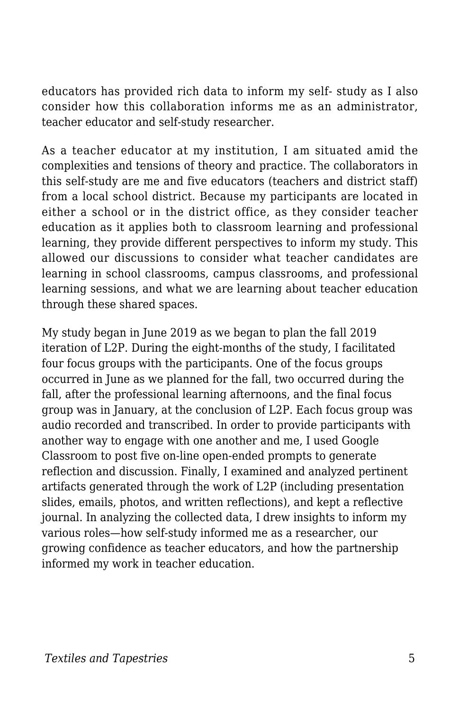educators has provided rich data to inform my self- study as I also consider how this collaboration informs me as an administrator, teacher educator and self-study researcher.

As a teacher educator at my institution, I am situated amid the complexities and tensions of theory and practice. The collaborators in this self-study are me and five educators (teachers and district staff) from a local school district. Because my participants are located in either a school or in the district office, as they consider teacher education as it applies both to classroom learning and professional learning, they provide different perspectives to inform my study. This allowed our discussions to consider what teacher candidates are learning in school classrooms, campus classrooms, and professional learning sessions, and what we are learning about teacher education through these shared spaces.

My study began in June 2019 as we began to plan the fall 2019 iteration of L2P. During the eight-months of the study, I facilitated four focus groups with the participants. One of the focus groups occurred in June as we planned for the fall, two occurred during the fall, after the professional learning afternoons, and the final focus group was in January, at the conclusion of L2P. Each focus group was audio recorded and transcribed. In order to provide participants with another way to engage with one another and me, I used Google Classroom to post five on-line open-ended prompts to generate reflection and discussion. Finally, I examined and analyzed pertinent artifacts generated through the work of L2P (including presentation slides, emails, photos, and written reflections), and kept a reflective journal. In analyzing the collected data, I drew insights to inform my various roles—how self-study informed me as a researcher, our growing confidence as teacher educators, and how the partnership informed my work in teacher education.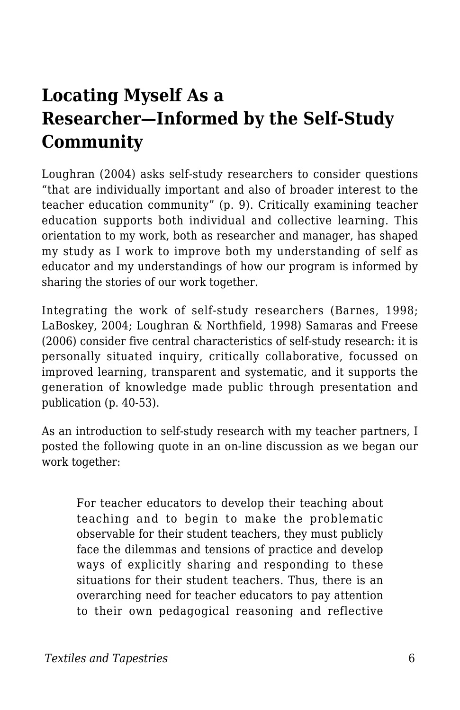# **Locating Myself As a Researcher—Informed by the Self-Study Community**

Loughran (2004) asks self-study researchers to consider questions "that are individually important and also of broader interest to the teacher education community" (p. 9). Critically examining teacher education supports both individual and collective learning. This orientation to my work, both as researcher and manager, has shaped my study as I work to improve both my understanding of self as educator and my understandings of how our program is informed by sharing the stories of our work together.

Integrating the work of self-study researchers (Barnes, 1998; LaBoskey, 2004; Loughran & Northfield, 1998) Samaras and Freese (2006) consider five central characteristics of self-study research: it is personally situated inquiry, critically collaborative, focussed on improved learning, transparent and systematic, and it supports the generation of knowledge made public through presentation and publication (p. 40-53).

As an introduction to self-study research with my teacher partners, I posted the following quote in an on-line discussion as we began our work together:

For teacher educators to develop their teaching about teaching and to begin to make the problematic observable for their student teachers, they must publicly face the dilemmas and tensions of practice and develop ways of explicitly sharing and responding to these situations for their student teachers. Thus, there is an overarching need for teacher educators to pay attention to their own pedagogical reasoning and reflective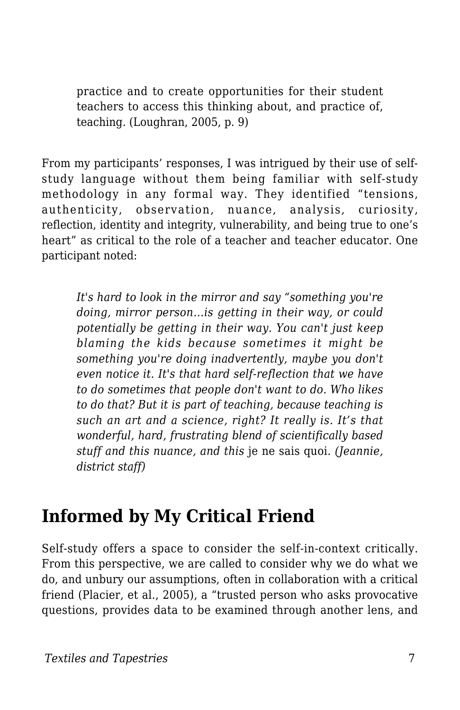practice and to create opportunities for their student teachers to access this thinking about, and practice of, teaching. (Loughran, 2005, p. 9)

From my participants' responses, I was intrigued by their use of selfstudy language without them being familiar with self-study methodology in any formal way. They identified "tensions, authenticity, observation, nuance, analysis, curiosity, reflection, identity and integrity, vulnerability, and being true to one's heart" as critical to the role of a teacher and teacher educator. One participant noted:

*It's hard to look in the mirror and say "something you're doing, mirror person…is getting in their way, or could potentially be getting in their way. You can't just keep blaming the kids because sometimes it might be something you're doing inadvertently, maybe you don't even notice it. It's that hard self-reflection that we have to do sometimes that people don't want to do. Who likes to do that? But it is part of teaching, because teaching is such an art and a science, right? It really is. It's that wonderful, hard, frustrating blend of scientifically based stuff and this nuance, and this* je ne sais quoi*. (Jeannie, district staff)*

### **Informed by My Critical Friend**

Self-study offers a space to consider the self-in-context critically. From this perspective, we are called to consider why we do what we do, and unbury our assumptions, often in collaboration with a critical friend (Placier, et al., 2005), a "trusted person who asks provocative questions, provides data to be examined through another lens, and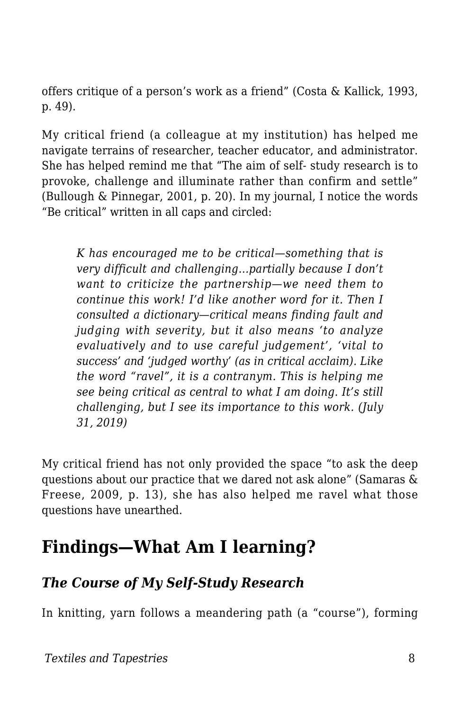offers critique of a person's work as a friend" (Costa & Kallick, 1993, p. 49).

My critical friend (a colleague at my institution) has helped me navigate terrains of researcher, teacher educator, and administrator. She has helped remind me that "The aim of self- study research is to provoke, challenge and illuminate rather than confirm and settle" (Bullough & Pinnegar, 2001, p. 20). In my journal, I notice the words "Be critical" written in all caps and circled:

*K has encouraged me to be critical—something that is very difficult and challenging…partially because I don't want to criticize the partnership—we need them to continue this work! I'd like another word for it. Then I consulted a dictionary—critical means finding fault and judging with severity, but it also means 'to analyze evaluatively and to use careful judgement', 'vital to success' and 'judged worthy' (as in critical acclaim). Like the word "ravel", it is a contranym. This is helping me see being critical as central to what I am doing. It's still challenging, but I see its importance to this work. (July 31, 2019)*

My critical friend has not only provided the space "to ask the deep questions about our practice that we dared not ask alone" (Samaras & Freese, 2009, p. 13), she has also helped me ravel what those questions have unearthed.

### **Findings—What Am I learning?**

#### *The Course of My Self-Study Research*

In knitting, yarn follows a meandering path (a "course"), forming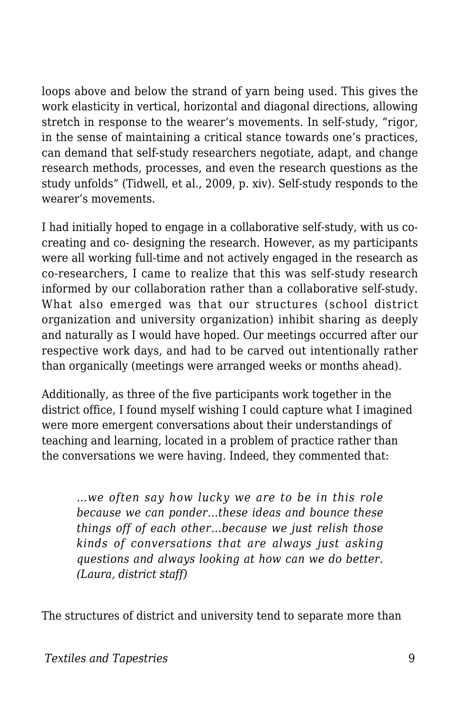loops above and below the strand of yarn being used. This gives the work elasticity in vertical, horizontal and diagonal directions, allowing stretch in response to the wearer's movements. In self-study, "rigor, in the sense of maintaining a critical stance towards one's practices, can demand that self-study researchers negotiate, adapt, and change research methods, processes, and even the research questions as the study unfolds" (Tidwell, et al., 2009, p. xiv). Self-study responds to the wearer's movements.

I had initially hoped to engage in a collaborative self-study, with us cocreating and co- designing the research. However, as my participants were all working full-time and not actively engaged in the research as co-researchers, I came to realize that this was self-study research informed by our collaboration rather than a collaborative self-study. What also emerged was that our structures (school district organization and university organization) inhibit sharing as deeply and naturally as I would have hoped. Our meetings occurred after our respective work days, and had to be carved out intentionally rather than organically (meetings were arranged weeks or months ahead).

Additionally, as three of the five participants work together in the district office, I found myself wishing I could capture what I imagined were more emergent conversations about their understandings of teaching and learning, located in a problem of practice rather than the conversations we were having. Indeed, they commented that:

*…we often say how lucky we are to be in this role because we can ponder…these ideas and bounce these things off of each other…because we just relish those kinds of conversations that are always just asking questions and always looking at how can we do better. (Laura, district staff)*

The structures of district and university tend to separate more than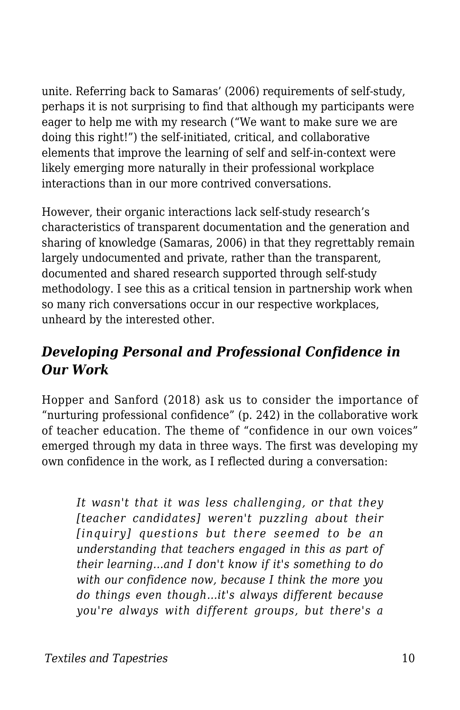unite. Referring back to Samaras' (2006) requirements of self-study, perhaps it is not surprising to find that although my participants were eager to help me with my research ("We want to make sure we are doing this right!") the self-initiated, critical, and collaborative elements that improve the learning of self and self-in-context were likely emerging more naturally in their professional workplace interactions than in our more contrived conversations.

However, their organic interactions lack self-study research's characteristics of transparent documentation and the generation and sharing of knowledge (Samaras, 2006) in that they regrettably remain largely undocumented and private, rather than the transparent, documented and shared research supported through self-study methodology. I see this as a critical tension in partnership work when so many rich conversations occur in our respective workplaces, unheard by the interested other.

#### *Developing Personal and Professional Confidence in Our Work*

Hopper and Sanford (2018) ask us to consider the importance of "nurturing professional confidence" (p. 242) in the collaborative work of teacher education. The theme of "confidence in our own voices" emerged through my data in three ways. The first was developing my own confidence in the work, as I reflected during a conversation:

*It wasn't that it was less challenging, or that they [teacher candidates] weren't puzzling about their [inquiry] questions but there seemed to be an understanding that teachers engaged in this as part of their learning…and I don't know if it's something to do with our confidence now, because I think the more you do things even though…it's always different because you're always with different groups, but there's a*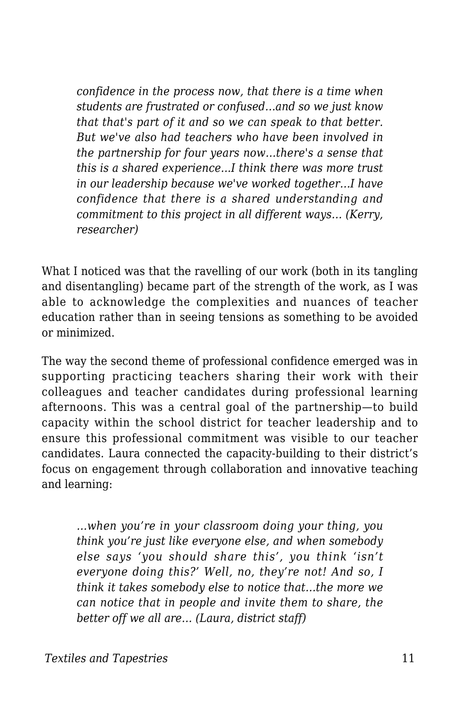*confidence in the process now, that there is a time when students are frustrated or confused…and so we just know that that's part of it and so we can speak to that better. But we've also had teachers who have been involved in the partnership for four years now…there's a sense that this is a shared experience...I think there was more trust in our leadership because we've worked together…I have confidence that there is a shared understanding and commitment to this project in all different ways… (Kerry, researcher)*

What I noticed was that the ravelling of our work (both in its tangling and disentangling) became part of the strength of the work, as I was able to acknowledge the complexities and nuances of teacher education rather than in seeing tensions as something to be avoided or minimized.

The way the second theme of professional confidence emerged was in supporting practicing teachers sharing their work with their colleagues and teacher candidates during professional learning afternoons. This was a central goal of the partnership—to build capacity within the school district for teacher leadership and to ensure this professional commitment was visible to our teacher candidates. Laura connected the capacity-building to their district's focus on engagement through collaboration and innovative teaching and learning:

*…when you're in your classroom doing your thing, you think you're just like everyone else, and when somebody else says 'you should share this', you think 'isn't everyone doing this?' Well, no, they're not! And so, I think it takes somebody else to notice that…the more we can notice that in people and invite them to share, the better off we all are… (Laura, district staff)*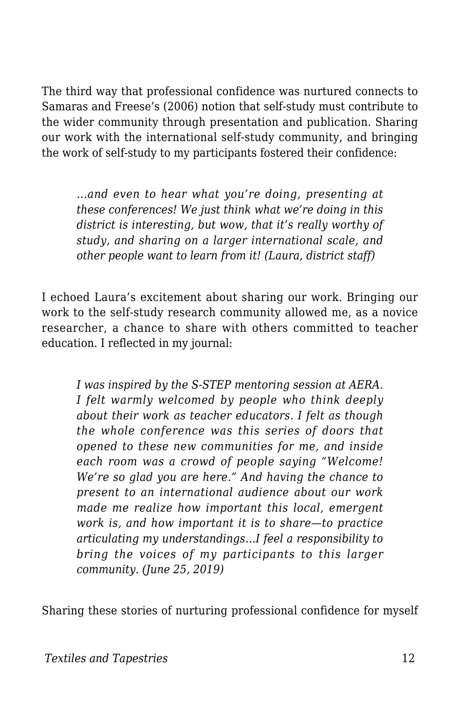The third way that professional confidence was nurtured connects to Samaras and Freese's (2006) notion that self-study must contribute to the wider community through presentation and publication. Sharing our work with the international self-study community, and bringing the work of self-study to my participants fostered their confidence:

*…and even to hear what you're doing, presenting at these conferences! We just think what we're doing in this district is interesting, but wow, that it's really worthy of study, and sharing on a larger international scale, and other people want to learn from it! (Laura, district staff)*

I echoed Laura's excitement about sharing our work. Bringing our work to the self-study research community allowed me, as a novice researcher, a chance to share with others committed to teacher education. I reflected in my journal:

*I was inspired by the S-STEP mentoring session at AERA. I felt warmly welcomed by people who think deeply about their work as teacher educators. I felt as though the whole conference was this series of doors that opened to these new communities for me, and inside each room was a crowd of people saying "Welcome! We're so glad you are here." And having the chance to present to an international audience about our work made me realize how important this local, emergent work is, and how important it is to share—to practice articulating my understandings…I feel a responsibility to bring the voices of my participants to this larger community. (June 25, 2019)*

Sharing these stories of nurturing professional confidence for myself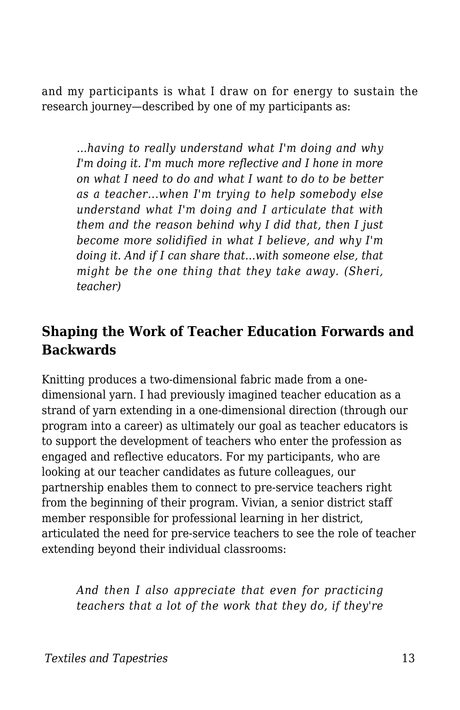and my participants is what I draw on for energy to sustain the research journey—described by one of my participants as:

*…having to really understand what I'm doing and why I'm doing it. I'm much more reflective and I hone in more on what I need to do and what I want to do to be better as a teacher...when I'm trying to help somebody else understand what I'm doing and I articulate that with them and the reason behind why I did that, then I just become more solidified in what I believe, and why I'm doing it. And if I can share that…with someone else, that might be the one thing that they take away. (Sheri, teacher)*

#### **Shaping the Work of Teacher Education Forwards and Backwards**

Knitting produces a two-dimensional fabric made from a onedimensional yarn. I had previously imagined teacher education as a strand of yarn extending in a one-dimensional direction (through our program into a career) as ultimately our goal as teacher educators is to support the development of teachers who enter the profession as engaged and reflective educators. For my participants, who are looking at our teacher candidates as future colleagues, our partnership enables them to connect to pre-service teachers right from the beginning of their program. Vivian, a senior district staff member responsible for professional learning in her district, articulated the need for pre-service teachers to see the role of teacher extending beyond their individual classrooms:

*And then I also appreciate that even for practicing teachers that a lot of the work that they do, if they're*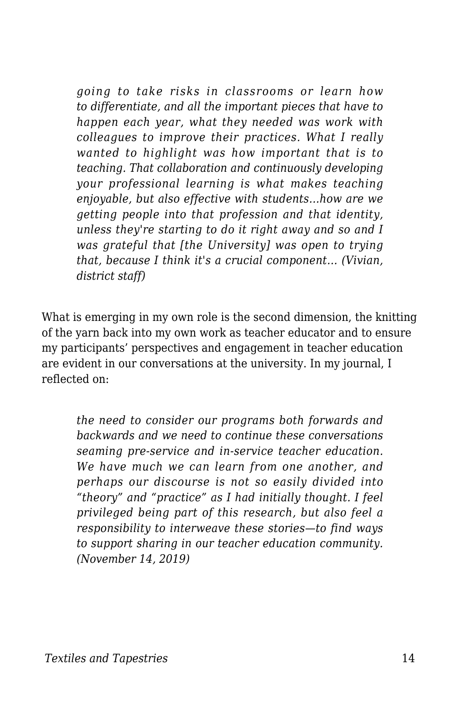*going to take risks in classrooms or learn how to differentiate, and all the important pieces that have to happen each year, what they needed was work with colleagues to improve their practices. What I really wanted to highlight was how important that is to teaching. That collaboration and continuously developing your professional learning is what makes teaching enjoyable, but also effective with students…how are we getting people into that profession and that identity, unless they're starting to do it right away and so and I was grateful that [the University] was open to trying that, because I think it's a crucial component… (Vivian, district staff)*

What is emerging in my own role is the second dimension, the knitting of the yarn back into my own work as teacher educator and to ensure my participants' perspectives and engagement in teacher education are evident in our conversations at the university. In my journal, I reflected on:

*the need to consider our programs both forwards and backwards and we need to continue these conversations seaming pre-service and in-service teacher education. We have much we can learn from one another, and perhaps our discourse is not so easily divided into "theory" and "practice" as I had initially thought. I feel privileged being part of this research, but also feel a responsibility to interweave these stories—to find ways to support sharing in our teacher education community. (November 14, 2019)*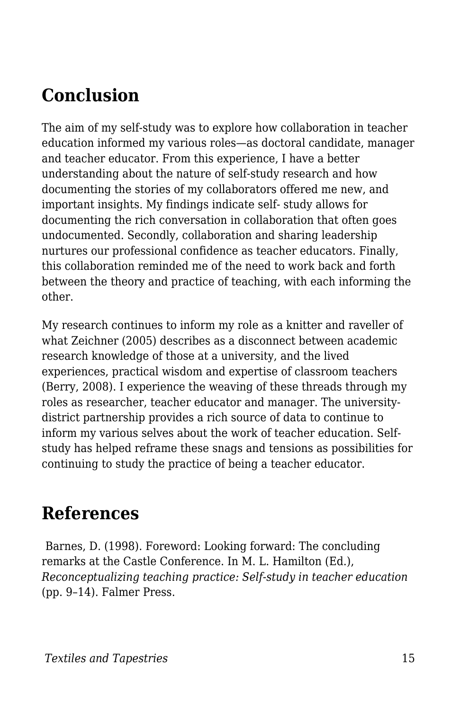## **Conclusion**

The aim of my self-study was to explore how collaboration in teacher education informed my various roles—as doctoral candidate, manager and teacher educator. From this experience, I have a better understanding about the nature of self-study research and how documenting the stories of my collaborators offered me new, and important insights. My findings indicate self- study allows for documenting the rich conversation in collaboration that often goes undocumented. Secondly, collaboration and sharing leadership nurtures our professional confidence as teacher educators. Finally, this collaboration reminded me of the need to work back and forth between the theory and practice of teaching, with each informing the other.

My research continues to inform my role as a knitter and raveller of what Zeichner (2005) describes as a disconnect between academic research knowledge of those at a university, and the lived experiences, practical wisdom and expertise of classroom teachers (Berry, 2008). I experience the weaving of these threads through my roles as researcher, teacher educator and manager. The universitydistrict partnership provides a rich source of data to continue to inform my various selves about the work of teacher education. Selfstudy has helped reframe these snags and tensions as possibilities for continuing to study the practice of being a teacher educator.

#### **References**

Barnes, D. (1998). Foreword: Looking forward: The concluding remarks at the Castle Conference. In M. L. Hamilton (Ed.), *Reconceptualizing teaching practice: Self-study in teacher education* (pp. 9–14). Falmer Press.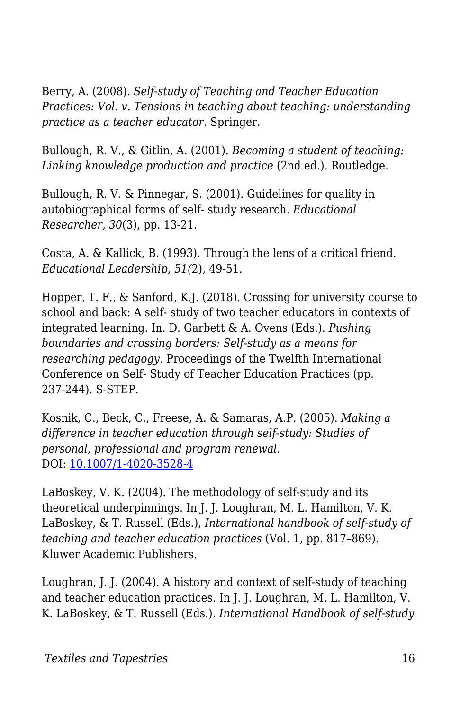Berry, A. (2008). *Self-study of Teaching and Teacher Education Practices: Vol. v. Tensions in teaching about teaching: understanding practice as a teacher educator*. Springer.

Bullough, R. V., & Gitlin, A. (2001). *Becoming a student of teaching: Linking knowledge production and practice* (2nd ed.). Routledge.

Bullough, R. V. & Pinnegar, S. (2001). Guidelines for quality in autobiographical forms of self- study research. *Educational Researcher, 30*(3), pp. 13-21.

Costa, A. & Kallick, B. (1993). Through the lens of a critical friend. *Educational Leadership, 51(*2), 49-51.

Hopper, T. F., & Sanford, K.J. (2018). Crossing for university course to school and back: A self- study of two teacher educators in contexts of integrated learning. In. D. Garbett & A. Ovens (Eds.). *Pushing boundaries and crossing borders: Self-study as a means for researching pedagogy.* Proceedings of the Twelfth International Conference on Self- Study of Teacher Education Practices (pp. 237-244). S-STEP.

Kosnik, C., Beck, C., Freese, A. & Samaras, A.P. (2005). *Making a difference in teacher education through self-study: Studies of personal, professional and program renewal*. DOI: [10.1007/1-4020-3528-4](https://www.researchgate.net/deref/http%3A%2F%2Fdx.doi.org%2F10.1007%2F1-4020-3528-4)

LaBoskey, V. K. (2004). The methodology of self-study and its theoretical underpinnings. In J. J. Loughran, M. L. Hamilton, V. K. LaBoskey, & T. Russell (Eds.), *International handbook of self-study of teaching and teacher education practices* (Vol. 1, pp. 817–869). Kluwer Academic Publishers.

Loughran, J. J. (2004). A history and context of self-study of teaching and teacher education practices. In J. J. Loughran, M. L. Hamilton, V. K. LaBoskey, & T. Russell (Eds.). *International Handbook of self-study*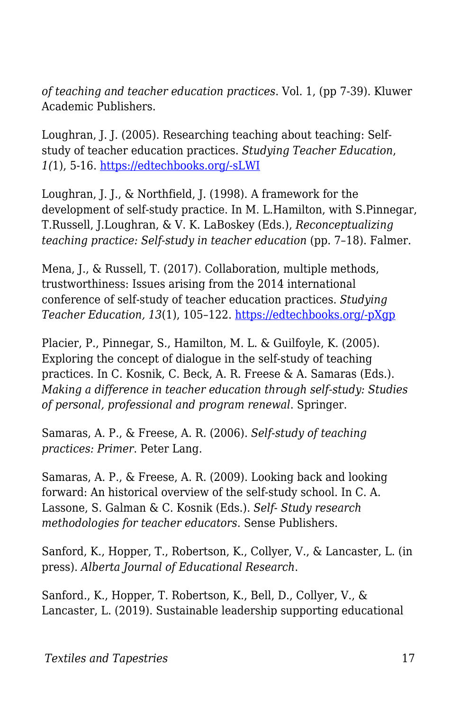*of teaching and teacher education practices*. Vol. 1, (pp 7-39). Kluwer Academic Publishers.

Loughran, J. J. (2005). Researching teaching about teaching: Selfstudy of teacher education practices. *Studying Teacher Education*, *1(*1), 5-16. [https://edtechbooks.org/-sLWI](https://doi.org/10.1080/17425960500039777)

Loughran, J. J., & Northfield, J. (1998). A framework for the development of self-study practice. In M. L.Hamilton, with S.Pinnegar, T.Russell, J.Loughran, & V. K. LaBoskey (Eds.), *Reconceptualizing teaching practice: Self-study in teacher education* (pp. 7–18). Falmer.

Mena, J., & Russell, T. (2017). Collaboration, multiple methods, trustworthiness: Issues arising from the 2014 international conference of self-study of teacher education practices. *Studying Teacher Education, 13*(1), 105–122. [https://edtechbooks.org/-pXgp](https://doi.org/10.1080/17425964.2017.1287694)

Placier, P., Pinnegar, S., Hamilton, M. L. & Guilfoyle, K. (2005). Exploring the concept of dialogue in the self-study of teaching practices. In C. Kosnik, C. Beck, A. R. Freese & A. Samaras (Eds.). *Making a difference in teacher education through self-study: Studies of personal, professional and program renewal*. Springer.

Samaras, A. P., & Freese, A. R. (2006). *Self-study of teaching practices: Primer*. Peter Lang.

Samaras, A. P., & Freese, A. R. (2009). Looking back and looking forward: An historical overview of the self-study school. In C. A. Lassone, S. Galman & C. Kosnik (Eds.). *Self- Study research methodologies for teacher educators*. Sense Publishers.

Sanford, K., Hopper, T., Robertson, K., Collyer, V., & Lancaster, L. (in press). *Alberta Journal of Educational Research*.

Sanford., K., Hopper, T. Robertson, K., Bell, D., Collyer, V., & Lancaster, L. (2019). Sustainable leadership supporting educational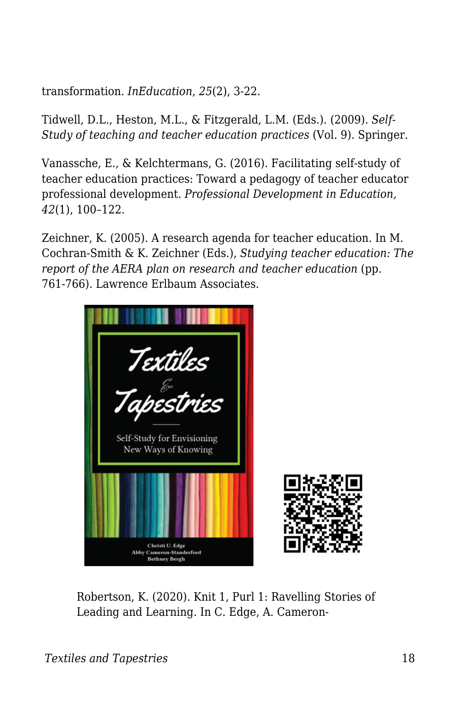transformation. *InEducation*, *25*(2), 3-22.

Tidwell, D.L., Heston, M.L., & Fitzgerald, L.M. (Eds.). (2009). *Self-Study of teaching and teacher education practices* (Vol. 9). Springer.

Vanassche, E., & Kelchtermans, G. (2016). Facilitating self-study of teacher education practices: Toward a pedagogy of teacher educator professional development. *Professional Development in Education, 42*(1), 100–122.

Zeichner, K. (2005). A research agenda for teacher education. In M. Cochran-Smith & K. Zeichner (Eds.), *Studying teacher education: The report of the AERA plan on research and teacher education (pp.* 761-766). Lawrence Erlbaum Associates.



Robertson, K. (2020). Knit 1, Purl 1: Ravelling Stories of Leading and Learning. In C. Edge, A. Cameron-